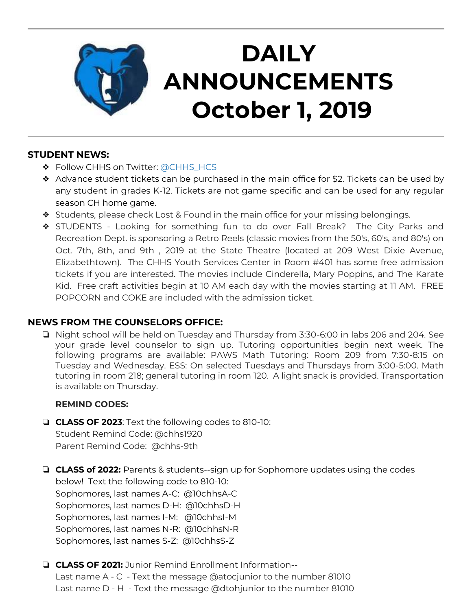

# **DAILY ANNOUNCEMENTS October 1, 2019**

## **STUDENT NEWS:**

- ❖ Follow CHHS on Twitter: [@CHHS\\_HCS](https://twitter.com/CHHS_HCS)
- ❖ Advance student tickets can be purchased in the main office for \$2. Tickets can be used by any student in grades K-12. Tickets are not game specific and can be used for any regular season CH home game.
- ❖ Students, please check Lost & Found in the main office for your missing belongings.
- ❖ STUDENTS Looking for something fun to do over Fall Break? The City Parks and Recreation Dept. is sponsoring a Retro Reels (classic movies from the 50's, 60's, and 80's) on Oct. 7th, 8th, and 9th , 2019 at the State Theatre (located at 209 West Dixie Avenue, Elizabethtown). The CHHS Youth Services Center in Room #401 has some free admission tickets if you are interested. The movies include Cinderella, Mary Poppins, and The Karate Kid. Free craft activities begin at 10 AM each day with the movies starting at 11 AM. FREE POPCORN and COKE are included with the admission ticket.

## **NEWS FROM THE COUNSELORS OFFICE:**

❏ Night school will be held on Tuesday and Thursday from 3:30-6:00 in labs 206 and 204. See your grade level counselor to sign up. Tutoring opportunities begin next week. The following programs are available: PAWS Math Tutoring: Room 209 from 7:30-8:15 on Tuesday and Wednesday. ESS: On selected Tuesdays and Thursdays from 3:00-5:00. Math tutoring in room 218; general tutoring in room 120. A light snack is provided. Transportation is available on Thursday.

### **REMIND CODES:**

- ❏ **CLASS OF 2023**: Text the following codes to 810-10: Student Remind Code: @chhs1920 Parent Remind Code: @chhs-9th
- ❏ **CLASS of 2022:** Parents & students--sign up for Sophomore updates using the codes below! Text the following code to 810-10: Sophomores, last names A-C: @10chhsA-C Sophomores, last names D-H: @10chhsD-H Sophomores, last names I-M: @10chhsI-M Sophomores, last names N-R: @10chhsN-R Sophomores, last names S-Z: @10chhsS-Z
- ❏ **CLASS OF 2021:** Junior Remind Enrollment Information-- Last name A - C - Text the message @atocjunior to the number 81010 Last name D - H - Text the message @dtohjunior to the number 81010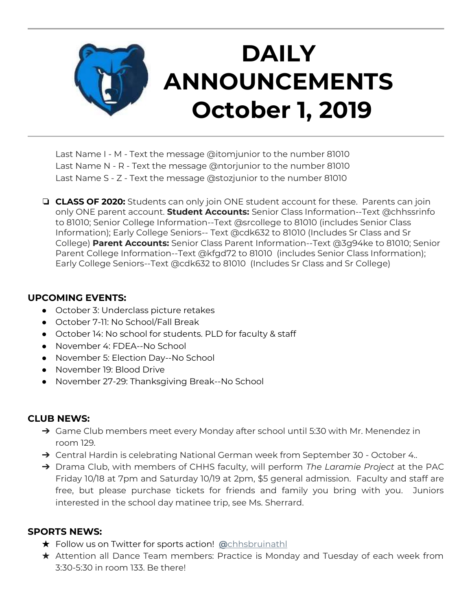

Last Name I - M - Text the message @itomjunior to the number 81010 Last Name N - R - Text the message @ntorjunior to the number 81010 Last Name S - Z - Text the message @stozjunior to the number 81010

❏ **CLASS OF 2020:** Students can only join ONE student account for these. Parents can join only ONE parent account. **Student Accounts:** Senior Class Information--Text @chhssrinfo to 81010; Senior College Information--Text @srcollege to 81010 (includes Senior Class Information); Early College Seniors-- Text @cdk632 to 81010 (Includes Sr Class and Sr College) **Parent Accounts:** Senior Class Parent Information--Text @3g94ke to 81010; Senior Parent College Information--Text @kfgd72 to 81010 (includes Senior Class Information); Early College Seniors--Text @cdk632 to 81010 (Includes Sr Class and Sr College)

### **UPCOMING EVENTS:**

- October 3: Underclass picture retakes
- October 7-11: No School/Fall Break
- October 14: No school for students. PLD for faculty & staff
- November 4: FDEA--No School
- November 5: Election Day--No School
- November 19: Blood Drive
- November 27-29: Thanksgiving Break--No School

### **CLUB NEWS:**

- → Game Club members meet every Monday after school until 5:30 with Mr. Menendez in room 129.
- → Central Hardin is celebrating National German week from September 30 October 4..
- ➔ Drama Club, with members of CHHS faculty, will perform *The Laramie Project* at the PAC Friday 10/18 at 7pm and Saturday 10/19 at 2pm, \$5 general admission. Faculty and staff are free, but please purchase tickets for friends and family you bring with you. Juniors interested in the school day matinee trip, see Ms. Sherrard.

#### **SPORTS NEWS:**

- ★ Follow us on Twitter for sports action! **[@](https://twitter.com/chhsbruinathl)**[chhsbruinathl](https://twitter.com/chhsbruinathl)
- ★ Attention all Dance Team members: Practice is Monday and Tuesday of each week from 3:30-5:30 in room 133. Be there!